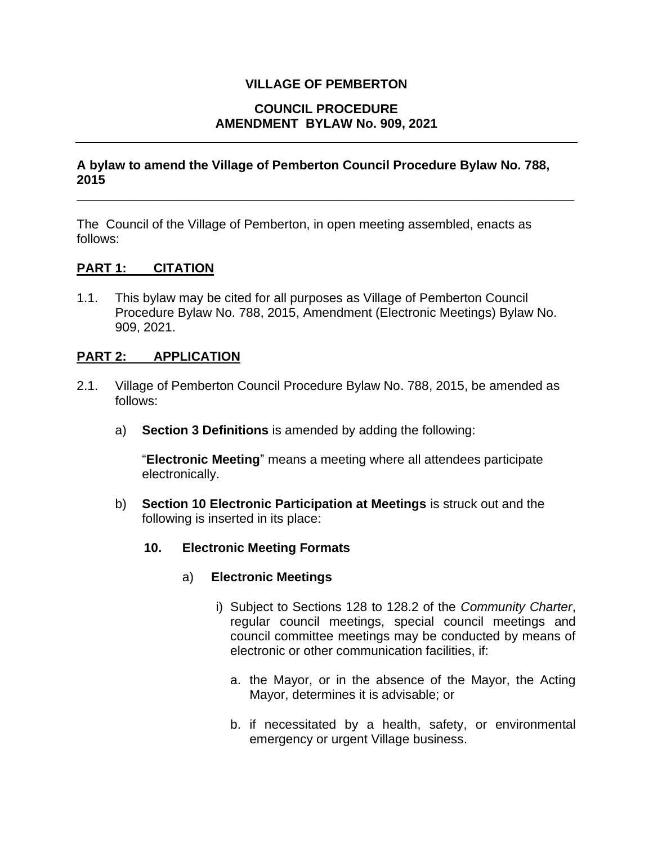### **VILLAGE OF PEMBERTON**

### **COUNCIL PROCEDURE AMENDMENT BYLAW No. 909, 2021**

### **A bylaw to amend the Village of Pemberton Council Procedure Bylaw No. 788, 2015**

**\_\_\_\_\_\_\_\_\_\_\_\_\_\_\_\_\_\_\_\_\_\_\_\_\_\_\_\_\_\_\_\_\_\_\_\_\_\_\_\_\_\_\_\_\_\_\_\_\_\_\_\_\_\_\_\_\_\_\_\_\_\_\_\_\_\_\_\_\_\_**

The Council of the Village of Pemberton, in open meeting assembled, enacts as follows:

## **PART 1: CITATION**

1.1. This bylaw may be cited for all purposes as Village of Pemberton Council Procedure Bylaw No. 788, 2015, Amendment (Electronic Meetings) Bylaw No. 909, 2021.

### **PART 2: APPLICATION**

- 2.1. Village of Pemberton Council Procedure Bylaw No. 788, 2015, be amended as follows:
	- a) **Section 3 Definitions** is amended by adding the following:

"**Electronic Meeting**" means a meeting where all attendees participate electronically.

- b) **Section 10 Electronic Participation at Meetings** is struck out and the following is inserted in its place:
	- **10. Electronic Meeting Formats**
		- a) **Electronic Meetings**
			- i) Subject to Sections 128 to 128.2 of the *Community Charter*, regular council meetings, special council meetings and council committee meetings may be conducted by means of electronic or other communication facilities, if:
				- a. the Mayor, or in the absence of the Mayor, the Acting Mayor, determines it is advisable; or
				- b. if necessitated by a health, safety, or environmental emergency or urgent Village business.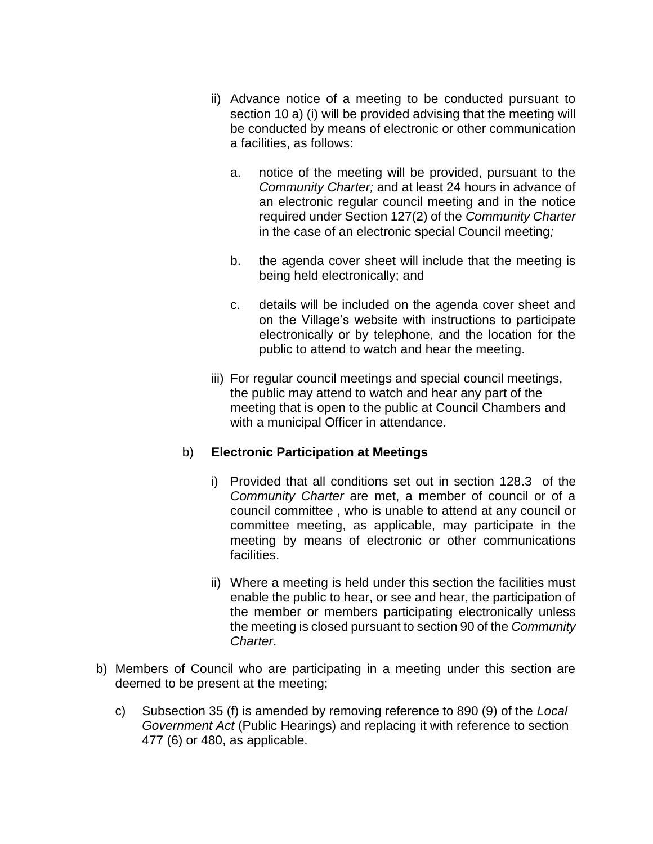- ii) Advance notice of a meeting to be conducted pursuant to section 10 a) (i) will be provided advising that the meeting will be conducted by means of electronic or other communication a facilities, as follows:
	- a. notice of the meeting will be provided, pursuant to the *Community Charter;* and at least 24 hours in advance of an electronic regular council meeting and in the notice required under Section 127(2) of the *Community Charter* in the case of an electronic special Council meeting*;*
	- b. the agenda cover sheet will include that the meeting is being held electronically; and
	- c. details will be included on the agenda cover sheet and on the Village's website with instructions to participate electronically or by telephone, and the location for the public to attend to watch and hear the meeting.
- iii) For regular council meetings and special council meetings, the public may attend to watch and hear any part of the meeting that is open to the public at Council Chambers and with a municipal Officer in attendance.

# b) **Electronic Participation at Meetings**

- i) Provided that all conditions set out in section 128.3 of the *Community Charter* are met, a member of council or of a council committee , who is unable to attend at any council or committee meeting, as applicable, may participate in the meeting by means of electronic or other communications facilities.
- ii) Where a meeting is held under this section the facilities must enable the public to hear, or see and hear, the participation of the member or members participating electronically unless the meeting is closed pursuant to section 90 of the *Community Charter*.
- b) Members of Council who are participating in a meeting under this section are deemed to be present at the meeting;
	- c) Subsection 35 (f) is amended by removing reference to 890 (9) of the *Local Government Act* (Public Hearings) and replacing it with reference to section 477 (6) or 480, as applicable.